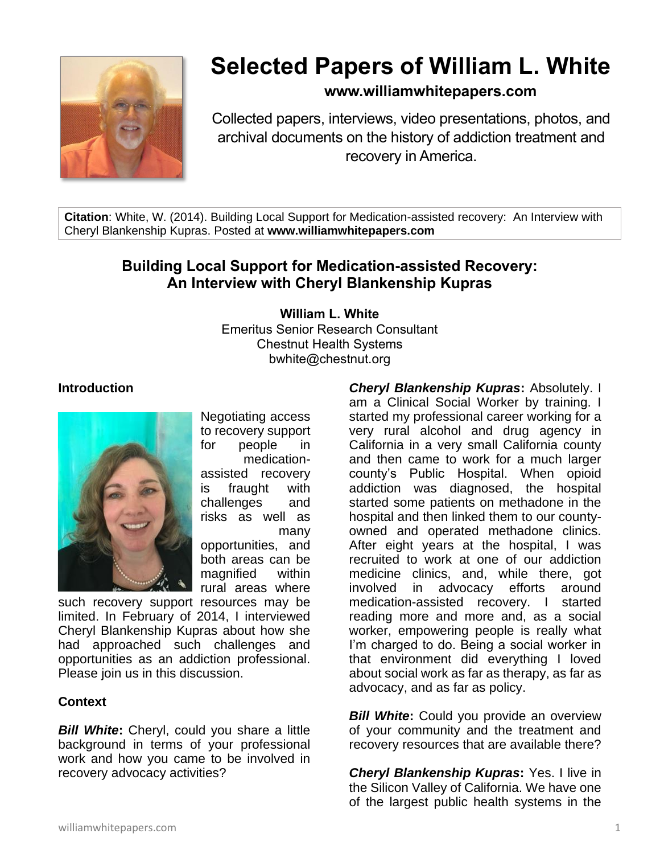

# **Selected Papers of William L. White**

### **www.williamwhitepapers.com**

Collected papers, interviews, video presentations, photos, and archival documents on the history of addiction treatment and recovery in America.

**Citation**: White, W. (2014). Building Local Support for Medication-assisted recovery: An Interview with Cheryl Blankenship Kupras. Posted at **www.williamwhitepapers.com**

## **Building Local Support for Medication-assisted Recovery: An Interview with Cheryl Blankenship Kupras**

**William L. White**

Emeritus Senior Research Consultant Chestnut Health Systems bwhite@chestnut.org

#### **Introduction**



Negotiating access to recovery support for people in medicationassisted recovery is fraught with challenges and risks as well as many opportunities, and

both areas can be magnified within rural areas where

such recovery support resources may be limited. In February of 2014, I interviewed Cheryl Blankenship Kupras about how she had approached such challenges and opportunities as an addiction professional. Please join us in this discussion.

#### **Context**

*Bill White***:** Cheryl, could you share a little background in terms of your professional work and how you came to be involved in recovery advocacy activities?

*Cheryl Blankenship Kupras***:** Absolutely. I am a Clinical Social Worker by training. I started my professional career working for a very rural alcohol and drug agency in California in a very small California county and then came to work for a much larger county's Public Hospital. When opioid addiction was diagnosed, the hospital started some patients on methadone in the hospital and then linked them to our countyowned and operated methadone clinics. After eight years at the hospital, I was recruited to work at one of our addiction medicine clinics, and, while there, got involved in advocacy efforts around medication-assisted recovery. I started reading more and more and, as a social worker, empowering people is really what I'm charged to do. Being a social worker in that environment did everything I loved about social work as far as therapy, as far as advocacy, and as far as policy.

*Bill White:* Could you provide an overview of your community and the treatment and recovery resources that are available there?

*Cheryl Blankenship Kupras***:** Yes. I live in the Silicon Valley of California. We have one of the largest public health systems in the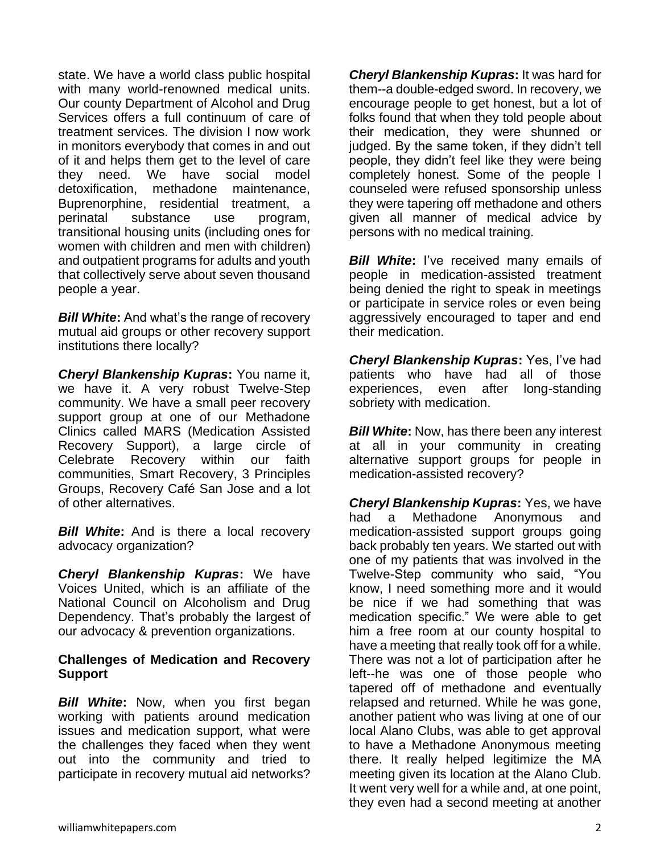state. We have a world class public hospital with many world-renowned medical units. Our county Department of Alcohol and Drug Services offers a full continuum of care of treatment services. The division I now work in monitors everybody that comes in and out of it and helps them get to the level of care they need. We have social model detoxification, methadone maintenance, Buprenorphine, residential treatment, a perinatal substance use program, transitional housing units (including ones for women with children and men with children) and outpatient programs for adults and youth that collectively serve about seven thousand people a year.

*Bill White***:** And what's the range of recovery mutual aid groups or other recovery support institutions there locally?

*Cheryl Blankenship Kupras***:** You name it, we have it. A very robust Twelve-Step community. We have a small peer recovery support group at one of our Methadone Clinics called MARS (Medication Assisted Recovery Support), a large circle of Celebrate Recovery within our faith communities, Smart Recovery, 3 Principles Groups, Recovery Café San Jose and a lot of other alternatives.

**Bill White:** And is there a local recovery advocacy organization?

*Cheryl Blankenship Kupras***:** We have Voices United, which is an affiliate of the National Council on Alcoholism and Drug Dependency. That's probably the largest of our advocacy & prevention organizations.

#### **Challenges of Medication and Recovery Support**

*Bill White***:** Now, when you first began working with patients around medication issues and medication support, what were the challenges they faced when they went out into the community and tried to participate in recovery mutual aid networks?

*Cheryl Blankenship Kupras***:** It was hard for them--a double-edged sword. In recovery, we encourage people to get honest, but a lot of folks found that when they told people about their medication, they were shunned or judged. By the same token, if they didn't tell people, they didn't feel like they were being completely honest. Some of the people I counseled were refused sponsorship unless they were tapering off methadone and others given all manner of medical advice by persons with no medical training.

**Bill White:** I've received many emails of people in medication-assisted treatment being denied the right to speak in meetings or participate in service roles or even being aggressively encouraged to taper and end their medication.

*Cheryl Blankenship Kupras***:** Yes, I've had patients who have had all of those experiences, even after long-standing sobriety with medication.

*Bill White***:** Now, has there been any interest at all in your community in creating alternative support groups for people in medication-assisted recovery?

*Cheryl Blankenship Kupras***:** Yes, we have had a Methadone Anonymous and medication-assisted support groups going back probably ten years. We started out with one of my patients that was involved in the Twelve-Step community who said, "You know, I need something more and it would be nice if we had something that was medication specific." We were able to get him a free room at our county hospital to have a meeting that really took off for a while. There was not a lot of participation after he left--he was one of those people who tapered off of methadone and eventually relapsed and returned. While he was gone, another patient who was living at one of our local Alano Clubs, was able to get approval to have a Methadone Anonymous meeting there. It really helped legitimize the MA meeting given its location at the Alano Club. It went very well for a while and, at one point, they even had a second meeting at another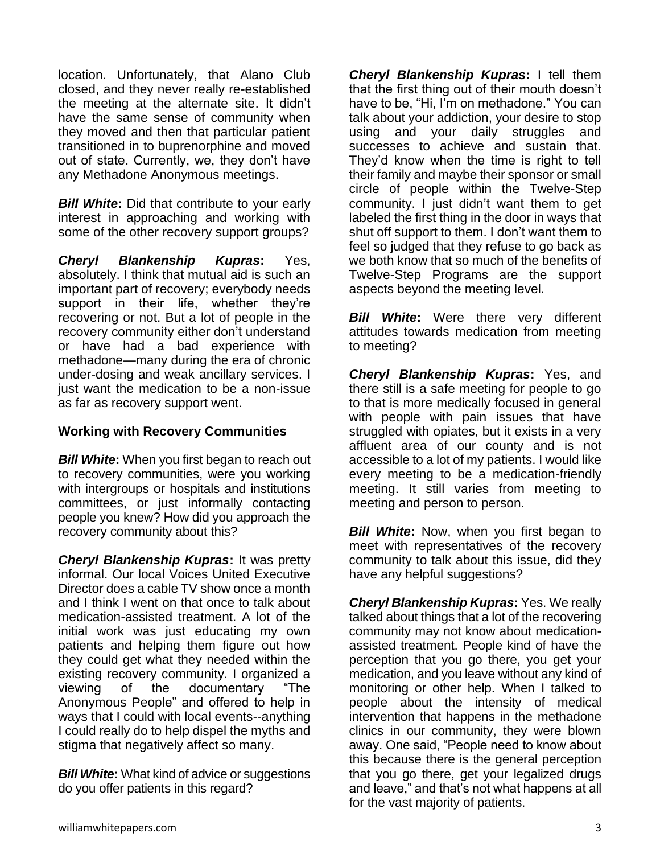location. Unfortunately, that Alano Club closed, and they never really re-established the meeting at the alternate site. It didn't have the same sense of community when they moved and then that particular patient transitioned in to buprenorphine and moved out of state. Currently, we, they don't have any Methadone Anonymous meetings.

**Bill White:** Did that contribute to your early interest in approaching and working with some of the other recovery support groups?

*Cheryl Blankenship Kupras***:** Yes, absolutely. I think that mutual aid is such an important part of recovery; everybody needs support in their life, whether they're recovering or not. But a lot of people in the recovery community either don't understand or have had a bad experience with methadone—many during the era of chronic under-dosing and weak ancillary services. I just want the medication to be a non-issue as far as recovery support went.

#### **Working with Recovery Communities**

*Bill White***:** When you first began to reach out to recovery communities, were you working with intergroups or hospitals and institutions committees, or just informally contacting people you knew? How did you approach the recovery community about this?

*Cheryl Blankenship Kupras***:** It was pretty informal. Our local Voices United Executive Director does a cable TV show once a month and I think I went on that once to talk about medication-assisted treatment. A lot of the initial work was just educating my own patients and helping them figure out how they could get what they needed within the existing recovery community. I organized a viewing of the documentary "The Anonymous People" and offered to help in ways that I could with local events--anything I could really do to help dispel the myths and stigma that negatively affect so many.

*Bill White:* What kind of advice or suggestions do you offer patients in this regard?

*Cheryl Blankenship Kupras***:** I tell them that the first thing out of their mouth doesn't have to be, "Hi, I'm on methadone." You can talk about your addiction, your desire to stop using and your daily struggles and successes to achieve and sustain that. They'd know when the time is right to tell their family and maybe their sponsor or small circle of people within the Twelve-Step community. I just didn't want them to get labeled the first thing in the door in ways that shut off support to them. I don't want them to feel so judged that they refuse to go back as we both know that so much of the benefits of Twelve-Step Programs are the support aspects beyond the meeting level.

*Bill White***:** Were there very different attitudes towards medication from meeting to meeting?

*Cheryl Blankenship Kupras***:** Yes, and there still is a safe meeting for people to go to that is more medically focused in general with people with pain issues that have struggled with opiates, but it exists in a very affluent area of our county and is not accessible to a lot of my patients. I would like every meeting to be a medication-friendly meeting. It still varies from meeting to meeting and person to person.

*Bill White:* Now, when you first began to meet with representatives of the recovery community to talk about this issue, did they have any helpful suggestions?

*Cheryl Blankenship Kupras***:** Yes. We really talked about things that a lot of the recovering community may not know about medicationassisted treatment. People kind of have the perception that you go there, you get your medication, and you leave without any kind of monitoring or other help. When I talked to people about the intensity of medical intervention that happens in the methadone clinics in our community, they were blown away. One said, "People need to know about this because there is the general perception that you go there, get your legalized drugs and leave," and that's not what happens at all for the vast majority of patients.